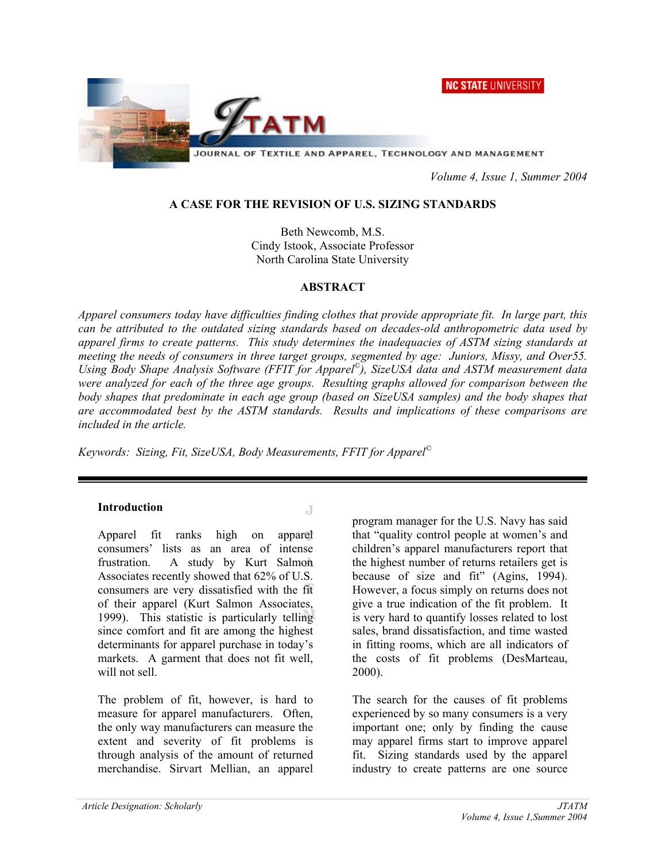NC STATE UNIVERSITY



JOURNAL OF TEXTILE AND APPAREL, TECHNOLOGY AND MANAGEMENT

 *Volume 4, Issue 1, Summer 2004* 

#### **A CASE FOR THE REVISION OF U.S. SIZING STANDARDS**

Beth Newcomb, M.S. Cindy Istook, Associate Professor North Carolina State University

#### **ABSTRACT**

*Apparel consumers today have difficulties finding clothes that provide appropriate fit. In large part, this can be attributed to the outdated sizing standards based on decades-old anthropometric data used by apparel firms to create patterns. This study determines the inadequacies of ASTM sizing standards at meeting the needs of consumers in three target groups, segmented by age: Juniors, Missy, and Over55. Using Body Shape Analysis Software (FFIT for Apparel©), SizeUSA data and ASTM measurement data were analyzed for each of the three age groups. Resulting graphs allowed for comparison between the body shapes that predominate in each age group (based on SizeUSA samples) and the body shapes that are accommodated best by the ASTM standards. Results and implications of these comparisons are included in the article.* 

J

*Keywords: Sizing, Fit, SizeUSA, Body Measurements, FFIT for Apparel©*

#### **Introduction**

Apparel fit ranks high on apparel consumers' lists as an area of intense frustration. A study by Kurt Salmon Associates recently showed that 62% of U.S. consumers are very dissatisfied with the fit of their apparel (Kurt Salmon Associates, 1999). This statistic is particularly telling since comfort and fit are among the highest determinants for apparel purchase in today's markets. A garment that does not fit well, will not sell.

The problem of fit, however, is hard to measure for apparel manufacturers. Often, the only way manufacturers can measure the extent and severity of fit problems is through analysis of the amount of returned merchandise. Sirvart Mellian, an apparel

program manager for the U.S. Navy has said that "quality control people at women's and children's apparel manufacturers report that the highest number of returns retailers get is because of size and fit" (Agins, 1994). However, a focus simply on returns does not give a true indication of the fit problem. It is very hard to quantify losses related to lost sales, brand dissatisfaction, and time wasted in fitting rooms, which are all indicators of the costs of fit problems (DesMarteau, 2000).

The search for the causes of fit problems experienced by so many consumers is a very important one; only by finding the cause may apparel firms start to improve apparel fit. Sizing standards used by the apparel industry to create patterns are one source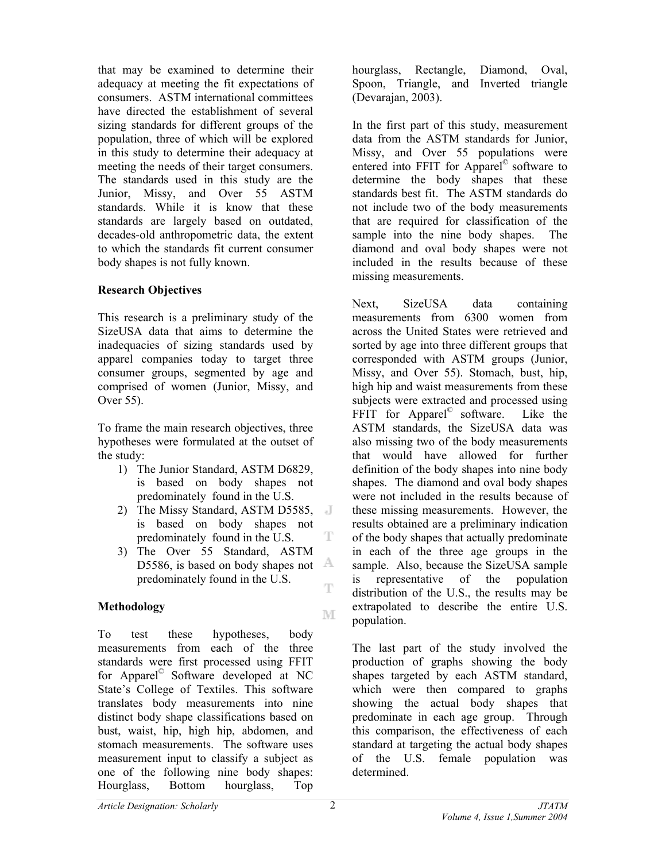that may be examined to determine their adequacy at meeting the fit expectations of consumers. ASTM international committees have directed the establishment of several sizing standards for different groups of the population, three of which will be explored in this study to determine their adequacy at meeting the needs of their target consumers. The standards used in this study are the Junior, Missy, and Over 55 ASTM standards. While it is know that these standards are largely based on outdated, decades-old anthropometric data, the extent to which the standards fit current consumer body shapes is not fully known.

### **Research Objectives**

This research is a preliminary study of the SizeUSA data that aims to determine the inadequacies of sizing standards used by apparel companies today to target three consumer groups, segmented by age and comprised of women (Junior, Missy, and Over 55).

To frame the main research objectives, three hypotheses were formulated at the outset of the study:

- 1) The Junior Standard, ASTM D6829, is based on body shapes not predominately found in the U.S.
- 2) The Missy Standard, ASTM D5585, is based on body shapes not T predominately found in the U.S.
- 3) The Over 55 Standard, ASTM D5586, is based on body shapes not  $\mathbb{A}$ predominately found in the U.S. Ŧ

### **Methodology**

To test these hypotheses, body measurements from each of the three standards were first processed using FFIT for Apparel© Software developed at NC State's College of Textiles. This software translates body measurements into nine distinct body shape classifications based on bust, waist, hip, high hip, abdomen, and stomach measurements. The software uses measurement input to classify a subject as one of the following nine body shapes: Hourglass, Bottom hourglass, Top

hourglass, Rectangle, Diamond, Oval, Spoon, Triangle, and Inverted triangle (Devarajan, 2003).

In the first part of this study, measurement data from the ASTM standards for Junior, Missy, and Over 55 populations were entered into FFIT for Apparel© software to determine the body shapes that these standards best fit. The ASTM standards do not include two of the body measurements that are required for classification of the sample into the nine body shapes. The diamond and oval body shapes were not included in the results because of these missing measurements.

Next, SizeUSA data containing measurements from 6300 women from across the United States were retrieved and sorted by age into three different groups that corresponded with ASTM groups (Junior, Missy, and Over 55). Stomach, bust, hip, high hip and waist measurements from these subjects were extracted and processed using FFIT for Apparel<sup>©</sup> software. Like the ASTM standards, the SizeUSA data was also missing two of the body measurements that would have allowed for further definition of the body shapes into nine body shapes. The diamond and oval body shapes were not included in the results because of these missing measurements. However, the results obtained are a preliminary indication of the body shapes that actually predominate in each of the three age groups in the sample. Also, because the SizeUSA sample is representative of the population distribution of the U.S., the results may be extrapolated to describe the entire U.S. population.

The last part of the study involved the production of graphs showing the body shapes targeted by each ASTM standard, which were then compared to graphs showing the actual body shapes that predominate in each age group. Through this comparison, the effectiveness of each standard at targeting the actual body shapes of the U.S. female population was determined.

M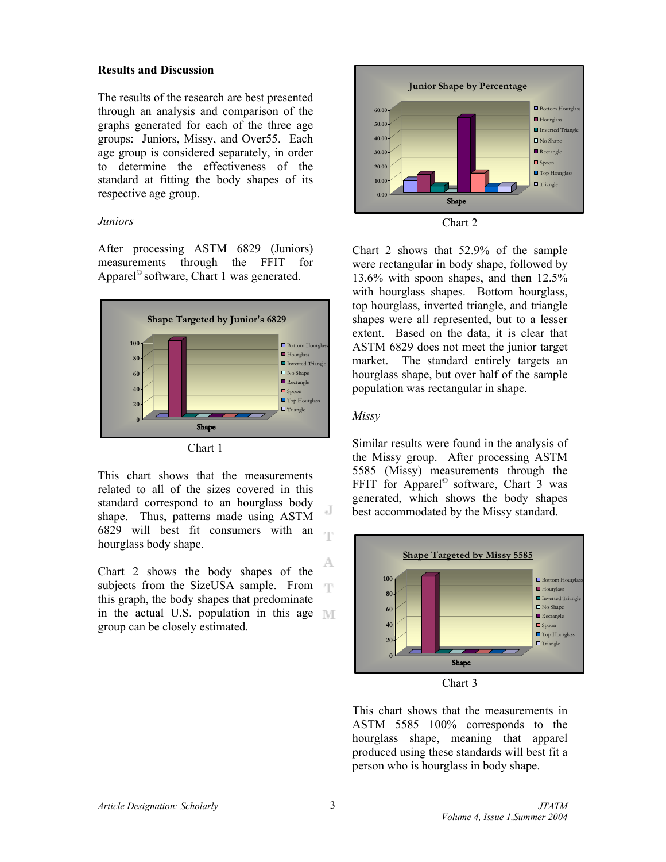#### **Results and Discussion**

The results of the research are best presented through an analysis and comparison of the graphs generated for each of the three age groups: Juniors, Missy, and Over55. Each age group is considered separately, in order to determine the effectiveness of the standard at fitting the body shapes of its respective age group.

### *Juniors*

After processing ASTM 6829 (Juniors) measurements through the FFIT for Apparel© software, Chart 1 was generated.



Chart 1

This chart shows that the measurements related to all of the sizes covered in this standard correspond to an hourglass body shape. Thus, patterns made using ASTM 6829 will best fit consumers with an T hourglass body shape.

А Chart 2 shows the body shapes of the subjects from the SizeUSA sample. From  $\mathbb{Z}[\Gamma]$ this graph, the body shapes that predominate in the actual U.S. population in this age  $\mathbb{M}$ group can be closely estimated.





Chart 2 shows that 52.9% of the sample were rectangular in body shape, followed by 13.6% with spoon shapes, and then 12.5% with hourglass shapes. Bottom hourglass, top hourglass, inverted triangle, and triangle shapes were all represented, but to a lesser extent. Based on the data, it is clear that ASTM 6829 does not meet the junior target market. The standard entirely targets an hourglass shape, but over half of the sample population was rectangular in shape.

## *Missy*

Similar results were found in the analysis of the Missy group. After processing ASTM 5585 (Missy) measurements through the FFIT for Apparel<sup>©</sup> software, Chart 3 was generated, which shows the body shapes best accommodated by the Missy standard.





This chart shows that the measurements in ASTM 5585 100% corresponds to the hourglass shape, meaning that apparel produced using these standards will best fit a person who is hourglass in body shape.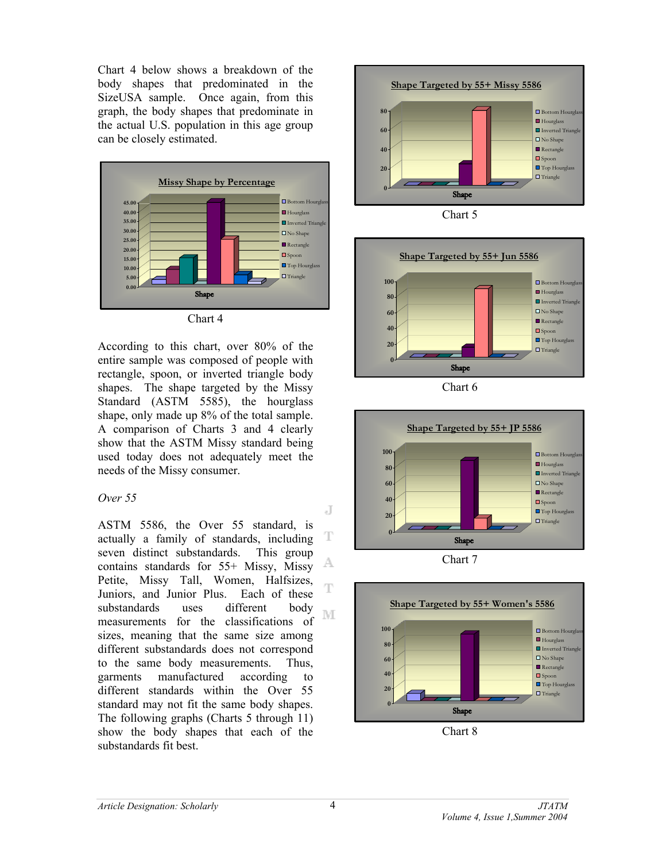Chart 4 below shows a breakdown of the body shapes that predominated in the SizeUSA sample. Once again, from this graph, the body shapes that predominate in the actual U.S. population in this age group can be closely estimated.



Chart 4

According to this chart, over 80% of the entire sample was composed of people with rectangle, spoon, or inverted triangle body shapes. The shape targeted by the Missy Standard (ASTM 5585), the hourglass shape, only made up 8% of the total sample. A comparison of Charts 3 and 4 clearly show that the ASTM Missy standard being used today does not adequately meet the needs of the Missy consumer.

### *Over 55*

ASTM 5586, the Over 55 standard, is actually a family of standards, including T seven distinct substandards. This group A contains standards for 55+ Missy, Missy Petite, Missy Tall, Women, Halfsizes, T Juniors, and Junior Plus. Each of these substandards uses different body M measurements for the classifications of sizes, meaning that the same size among different substandards does not correspond to the same body measurements. Thus, garments manufactured according to different standards within the Over 55 standard may not fit the same body shapes. The following graphs (Charts 5 through 11) show the body shapes that each of the substandards fit best.



**Shape Targeted by 55+ Jun 5586 100**  $\Box$  Bottom Hourg **Hourglass 80** ■ Inverted Triangle No Shape **60** Rectangle **40** ■ Spoon  $\blacksquare$  Top Hourglas **20**  $\Box$  Triangle **0** Shape

Chart 6







J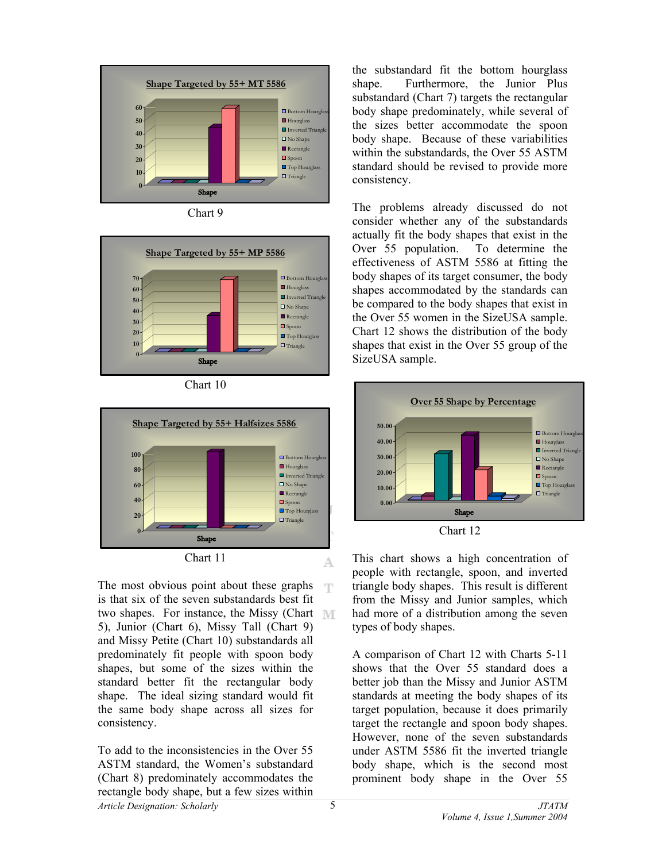









The most obvious point about these graphs  $\mathcal{F}[\Gamma]$ is that six of the seven substandards best fit two shapes. For instance, the Missy (Chart 5), Junior (Chart 6), Missy Tall (Chart 9) and Missy Petite (Chart 10) substandards all predominately fit people with spoon body shapes, but some of the sizes within the standard better fit the rectangular body shape. The ideal sizing standard would fit the same body shape across all sizes for consistency.

*Article Designation: Scholarly JTATM*  To add to the inconsistencies in the Over 55 ASTM standard, the Women's substandard (Chart 8) predominately accommodates the rectangle body shape, but a few sizes within

the substandard fit the bottom hourglass shape. Furthermore, the Junior Plus substandard (Chart 7) targets the rectangular body shape predominately, while several of the sizes better accommodate the spoon body shape. Because of these variabilities within the substandards, the Over 55 ASTM standard should be revised to provide more consistency.

The problems already discussed do not consider whether any of the substandards actually fit the body shapes that exist in the Over 55 population. To determine the effectiveness of ASTM 5586 at fitting the body shapes of its target consumer, the body shapes accommodated by the standards can be compared to the body shapes that exist in the Over 55 women in the SizeUSA sample. Chart 12 shows the distribution of the body shapes that exist in the Over 55 group of the SizeUSA sample.



This chart shows a high concentration of people with rectangle, spoon, and inverted triangle body shapes. This result is different from the Missy and Junior samples, which had more of a distribution among the seven types of body shapes.

A comparison of Chart 12 with Charts 5-11 shows that the Over 55 standard does a better job than the Missy and Junior ASTM standards at meeting the body shapes of its target population, because it does primarily target the rectangle and spoon body shapes. However, none of the seven substandards under ASTM 5586 fit the inverted triangle body shape, which is the second most prominent body shape in the Over 55